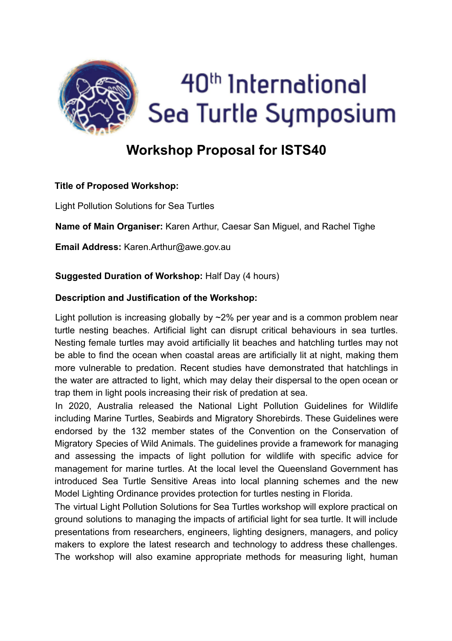

# **Workshop Proposal for ISTS40**

# **Title of Proposed Workshop:**

Light Pollution Solutions for Sea Turtles

**Name of Main Organiser:** Karen Arthur, Caesar San Miguel, and Rachel Tighe

**Email Address:** Karen.Arthur@awe.gov.au

# **Suggested Duration of Workshop:** Half Day (4 hours)

### **Description and Justification of the Workshop:**

Light pollution is increasing globally by  $\sim$ 2% per year and is a common problem near turtle nesting beaches. Artificial light can disrupt critical behaviours in sea turtles. Nesting female turtles may avoid artificially lit beaches and hatchling turtles may not be able to find the ocean when coastal areas are artificially lit at night, making them more vulnerable to predation. Recent studies have demonstrated that hatchlings in the water are attracted to light, which may delay their dispersal to the open ocean or trap them in light pools increasing their risk of predation at sea.

In 2020, Australia released the National Light Pollution Guidelines for Wildlife including Marine Turtles, Seabirds and Migratory Shorebirds. These Guidelines were endorsed by the 132 member states of the Convention on the Conservation of Migratory Species of Wild Animals. The guidelines provide a framework for managing and assessing the impacts of light pollution for wildlife with specific advice for management for marine turtles. At the local level the Queensland Government has introduced Sea Turtle Sensitive Areas into local planning schemes and the new Model Lighting Ordinance provides protection for turtles nesting in Florida.

The virtual Light Pollution Solutions for Sea Turtles workshop will explore practical on ground solutions to managing the impacts of artificial light for sea turtle. It will include presentations from researchers, engineers, lighting designers, managers, and policy makers to explore the latest research and technology to address these challenges. The workshop will also examine appropriate methods for measuring light, human